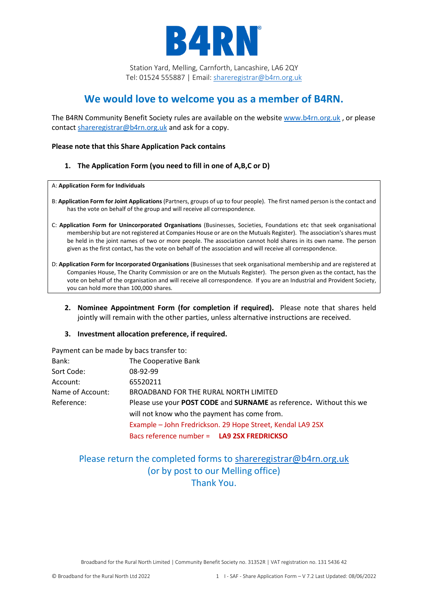

## **We would love to welcome you as a member of B4RN.**

The B4RN Community Benefit Society rules are available on the websit[e www.b4rn.org.uk](http://www.b4rn.org.uk/) , or please contact [shareregistrar@b4rn.org.uk](mailto:shareregistrar@b4rn.org.uk) and ask for a copy.

### **Please note that this Share Application Pack contains**

**1. The Application Form (you need to fill in one of A,B,C or D)**

A: **Application Form for Individuals**

- B: **Application Form for Joint Applications** (Partners, groups of up to four people). The first named person is the contact and has the vote on behalf of the group and will receive all correspondence.
- C: **Application Form for Unincorporated Organisations** (Businesses, Societies, Foundations etc that seek organisational membership but are not registered at Companies House or are on the Mutuals Register). The association's shares must be held in the joint names of two or more people. The association cannot hold shares in its own name. The person given as the first contact, has the vote on behalf of the association and will receive all correspondence.
- D: **Application Form for Incorporated Organisations** (Businesses that seek organisational membership and are registered at Companies House, The Charity Commission or are on the Mutuals Register). The person given as the contact, has the vote on behalf of the organisation and will receive all correspondence. If you are an Industrial and Provident Society, you can hold more than 100,000 shares.
	- **2. Nominee Appointment Form (for completion if required).** Please note that shares held jointly will remain with the other parties, unless alternative instructions are received.
	- **3. Investment allocation preference, if required.**

Payment can be made by bacs transfer to:

| Bank:            | The Cooperative Bank                                                |
|------------------|---------------------------------------------------------------------|
| Sort Code:       | 08-92-99                                                            |
| Account:         | 65520211                                                            |
| Name of Account: | BROADBAND FOR THE RURAL NORTH LIMITED                               |
| Reference:       | Please use your POST CODE and SURNAME as reference. Without this we |
|                  | will not know who the payment has come from.                        |
|                  | Example - John Fredrickson. 29 Hope Street, Kendal LA9 2SX          |
|                  | Bacs reference number = LA9 2SX FREDRICKSO                          |

## Please return the completed forms to [shareregistrar@b4rn.org.uk](mailto:shareregistrar@b4rn.org.uk) (or by post to our Melling office) Thank You.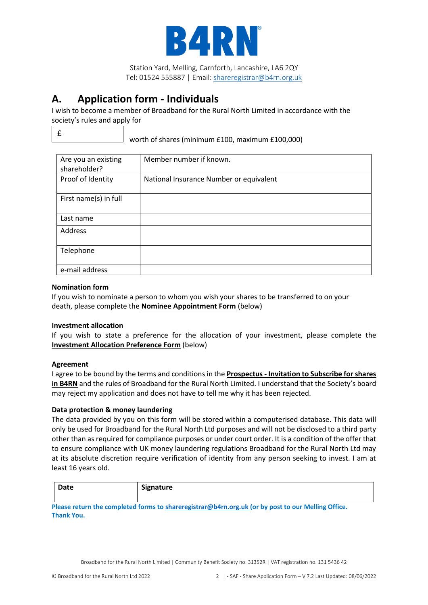

## **A. Application form - Individuals**

I wish to become a member of Broadband for the Rural North Limited in accordance with the society's rules and apply for

£

worth of shares (minimum £100, maximum £100,000)

| Are you an existing<br>shareholder? | Member number if known.                 |
|-------------------------------------|-----------------------------------------|
| Proof of Identity                   | National Insurance Number or equivalent |
| First name(s) in full               |                                         |
| Last name                           |                                         |
| Address                             |                                         |
| Telephone                           |                                         |
| e-mail address                      |                                         |

### **Nomination form**

If you wish to nominate a person to whom you wish your shares to be transferred to on your death, please complete the **Nominee Appointment Form** (below)

## **Investment allocation**

If you wish to state a preference for the allocation of your investment, please complete the **Investment Allocation Preference Form** (below)

## **Agreement**

I agree to be bound by the terms and conditions in the **Prospectus - Invitation to Subscribe for shares in B4RN** and the rules of Broadband for the Rural North Limited. I understand that the Society's board may reject my application and does not have to tell me why it has been rejected.

## **Data protection & money laundering**

The data provided by you on this form will be stored within a computerised database. This data will only be used for Broadband for the Rural North Ltd purposes and will not be disclosed to a third party other than as required for compliance purposes or under court order. It is a condition of the offer that to ensure compliance with UK money laundering regulations Broadband for the Rural North Ltd may at its absolute discretion require verification of identity from any person seeking to invest. I am at least 16 years old.

| Date | Signature |
|------|-----------|
|      |           |

**Please return the completed forms to [shareregistrar@b4rn.org.uk](mailto:shareregistrar@b4rn.org.uk) (or by post to our Melling Office. Thank You.**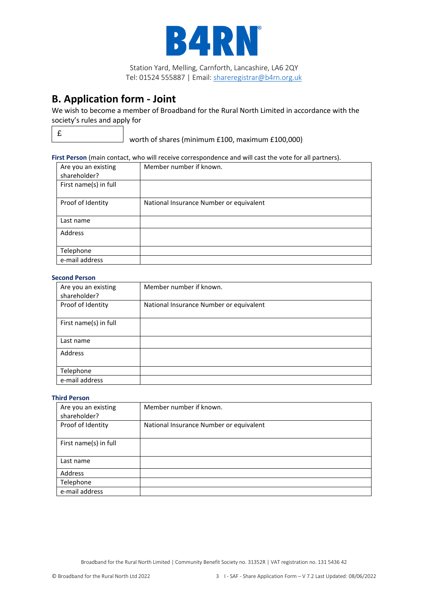

## **B. Application form - Joint**

We wish to become a member of Broadband for the Rural North Limited in accordance with the society's rules and apply for

£

worth of shares (minimum £100, maximum £100,000)

#### **First Person** (main contact, who will receive correspondence and will cast the vote for all partners).

| Are you an existing<br>shareholder? | Member number if known.                 |
|-------------------------------------|-----------------------------------------|
| First name(s) in full               |                                         |
| Proof of Identity                   | National Insurance Number or equivalent |
| Last name                           |                                         |
| Address                             |                                         |
| Telephone                           |                                         |
| e-mail address                      |                                         |

#### **Second Person**

| Are you an existing<br>shareholder? | Member number if known.                 |
|-------------------------------------|-----------------------------------------|
| Proof of Identity                   | National Insurance Number or equivalent |
| First name(s) in full               |                                         |
| Last name                           |                                         |
| Address                             |                                         |
| Telephone                           |                                         |
| e-mail address                      |                                         |

### **Third Person**

| Are you an existing<br>shareholder? | Member number if known.                 |
|-------------------------------------|-----------------------------------------|
| Proof of Identity                   | National Insurance Number or equivalent |
| First name(s) in full               |                                         |
| Last name                           |                                         |
| Address                             |                                         |
| Telephone                           |                                         |
| e-mail address                      |                                         |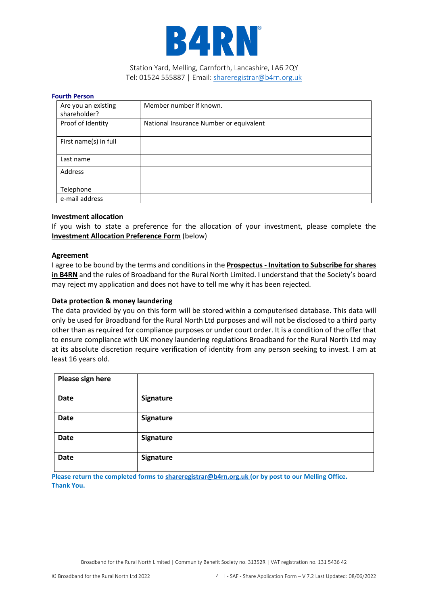

#### **Fourth Person**

| Are you an existing<br>shareholder? | Member number if known.                 |
|-------------------------------------|-----------------------------------------|
| Proof of Identity                   | National Insurance Number or equivalent |
| First name(s) in full               |                                         |
| Last name                           |                                         |
| Address                             |                                         |
| Telephone                           |                                         |
| e-mail address                      |                                         |

### **Investment allocation**

If you wish to state a preference for the allocation of your investment, please complete the **Investment Allocation Preference Form** (below)

#### **Agreement**

I agree to be bound by the terms and conditions in the **Prospectus - Invitation to Subscribe for shares in B4RN** and the rules of Broadband for the Rural North Limited. I understand that the Society's board may reject my application and does not have to tell me why it has been rejected.

#### **Data protection & money laundering**

The data provided by you on this form will be stored within a computerised database. This data will only be used for Broadband for the Rural North Ltd purposes and will not be disclosed to a third party other than as required for compliance purposes or under court order. It is a condition of the offer that to ensure compliance with UK money laundering regulations Broadband for the Rural North Ltd may at its absolute discretion require verification of identity from any person seeking to invest. I am at least 16 years old.

| Please sign here |           |
|------------------|-----------|
| <b>Date</b>      | Signature |
| Date             | Signature |
| <b>Date</b>      | Signature |
| Date             | Signature |

**Please return the completed forms to [shareregistrar@b4rn.org.uk](mailto:shareregistrar@b4rn.org.uk) (or by post to our Melling Office. Thank You.**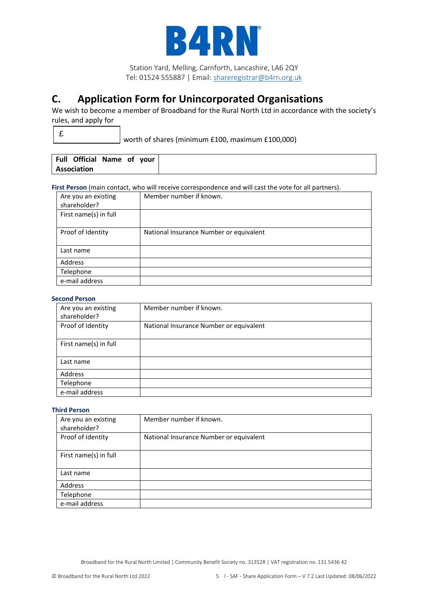

# **C. Application Form for Unincorporated Organisations**

We wish to become a member of Broadband for the Rural North Ltd in accordance with the society's rules, and apply for

worth of shares (minimum £100, maximum £100,000)

|  | Full Official Name of your |  |  |
|--|----------------------------|--|--|
|  | Association                |  |  |

**First Person** (main contact, who will receive correspondence and will cast the vote for all partners).

| Are you an existing<br>shareholder? | Member number if known.                 |
|-------------------------------------|-----------------------------------------|
| First name(s) in full               |                                         |
| Proof of Identity                   | National Insurance Number or equivalent |
| Last name                           |                                         |
| Address                             |                                         |
| Telephone                           |                                         |
| e-mail address                      |                                         |

#### **Second Person**

| Are you an existing<br>shareholder? | Member number if known.                 |
|-------------------------------------|-----------------------------------------|
| Proof of Identity                   | National Insurance Number or equivalent |
| First name(s) in full               |                                         |
| Last name                           |                                         |
| Address                             |                                         |
| Telephone                           |                                         |
| e-mail address                      |                                         |

### **Third Person**

| Are you an existing   | Member number if known.                 |
|-----------------------|-----------------------------------------|
| shareholder?          |                                         |
| Proof of Identity     | National Insurance Number or equivalent |
| First name(s) in full |                                         |
| Last name             |                                         |
| Address               |                                         |
| Telephone             |                                         |
| e-mail address        |                                         |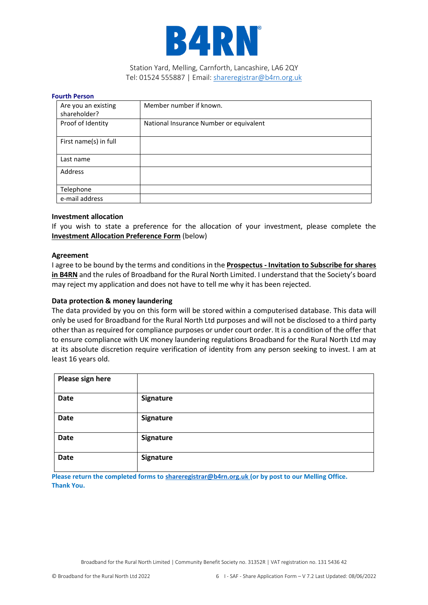

#### **Fourth Person**

| Are you an existing<br>shareholder? | Member number if known.                 |
|-------------------------------------|-----------------------------------------|
| Proof of Identity                   | National Insurance Number or equivalent |
| First name(s) in full               |                                         |
| Last name                           |                                         |
| Address                             |                                         |
| Telephone                           |                                         |
| e-mail address                      |                                         |

### **Investment allocation**

If you wish to state a preference for the allocation of your investment, please complete the **Investment Allocation Preference Form** (below)

#### **Agreement**

I agree to be bound by the terms and conditions in the **Prospectus - Invitation to Subscribe for shares in B4RN** and the rules of Broadband for the Rural North Limited. I understand that the Society's board may reject my application and does not have to tell me why it has been rejected.

#### **Data protection & money laundering**

The data provided by you on this form will be stored within a computerised database. This data will only be used for Broadband for the Rural North Ltd purposes and will not be disclosed to a third party other than as required for compliance purposes or under court order. It is a condition of the offer that to ensure compliance with UK money laundering regulations Broadband for the Rural North Ltd may at its absolute discretion require verification of identity from any person seeking to invest. I am at least 16 years old.

| Please sign here |           |
|------------------|-----------|
| <b>Date</b>      | Signature |
| Date             | Signature |
| <b>Date</b>      | Signature |
| Date             | Signature |

**Please return the completed forms to [shareregistrar@b4rn.org.uk](mailto:shareregistrar@b4rn.org.uk) (or by post to our Melling Office. Thank You.**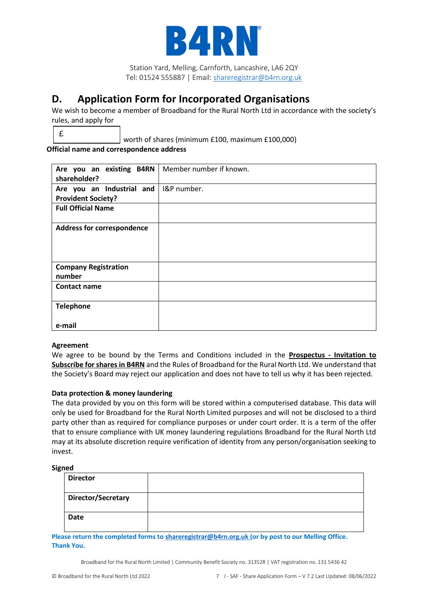

## **D. Application Form for Incorporated Organisations**

We wish to become a member of Broadband for the Rural North Ltd in accordance with the society's rules, and apply for

 $\overline{\phantom{a}}$ £

worth of shares (minimum £100, maximum £100,000)

**Official name and correspondence address** 

| Are you an existing B4RN<br>shareholder?               | Member number if known. |
|--------------------------------------------------------|-------------------------|
| Are you an Industrial and<br><b>Provident Society?</b> | I&P number.             |
| <b>Full Official Name</b>                              |                         |
| <b>Address for correspondence</b>                      |                         |
| <b>Company Registration</b><br>number                  |                         |
| <b>Contact name</b>                                    |                         |
| <b>Telephone</b>                                       |                         |
| e-mail                                                 |                         |

## **Agreement**

We agree to be bound by the Terms and Conditions included in the **Prospectus - Invitation to Subscribe for shares in B4RN** and the Rules of Broadband for the Rural North Ltd. We understand that the Society's Board may reject our application and does not have to tell us why it has been rejected.

## **Data protection & money laundering**

The data provided by you on this form will be stored within a computerised database. This data will only be used for Broadband for the Rural North Limited purposes and will not be disclosed to a third party other than as required for compliance purposes or under court order. It is a term of the offer that to ensure compliance with UK money laundering regulations Broadband for the Rural North Ltd may at its absolute discretion require verification of identity from any person/organisation seeking to invest.

## **Signed**

| <b>Director</b>    |  |
|--------------------|--|
| Director/Secretary |  |
| <b>Date</b>        |  |

**Please return the completed forms to [shareregistrar@b4rn.org.uk](mailto:shareregistrar@b4rn.org.uk) (or by post to our Melling Office. Thank You.**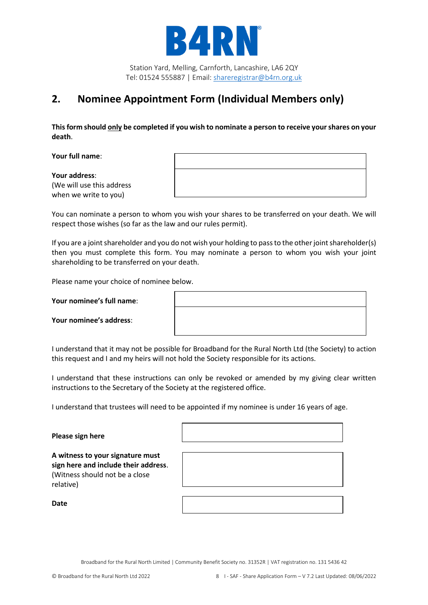

## **2. Nominee Appointment Form (Individual Members only)**

**This form should only be completed if you wish to nominate a person to receive your shares on your death**.

**Your full name**:

**Your address**: (We will use this address when we write to you)

You can nominate a person to whom you wish your shares to be transferred on your death. We will respect those wishes (so far as the law and our rules permit).

If you are a joint shareholder and you do not wish your holding to pass to the other joint shareholder(s) then you must complete this form. You may nominate a person to whom you wish your joint shareholding to be transferred on your death.

Please name your choice of nominee below.

**Your nominee's full name**:

I understand that it may not be possible for Broadband for the Rural North Ltd (the Society) to action this request and I and my heirs will not hold the Society responsible for its actions.

I understand that these instructions can only be revoked or amended by my giving clear written instructions to the Secretary of the Society at the registered office.

I understand that trustees will need to be appointed if my nominee is under 16 years of age.

Г

| Please sign here                                                                                                        |  |
|-------------------------------------------------------------------------------------------------------------------------|--|
| A witness to your signature must<br>sign here and include their address.<br>(Witness should not be a close<br>relative) |  |
| Date                                                                                                                    |  |